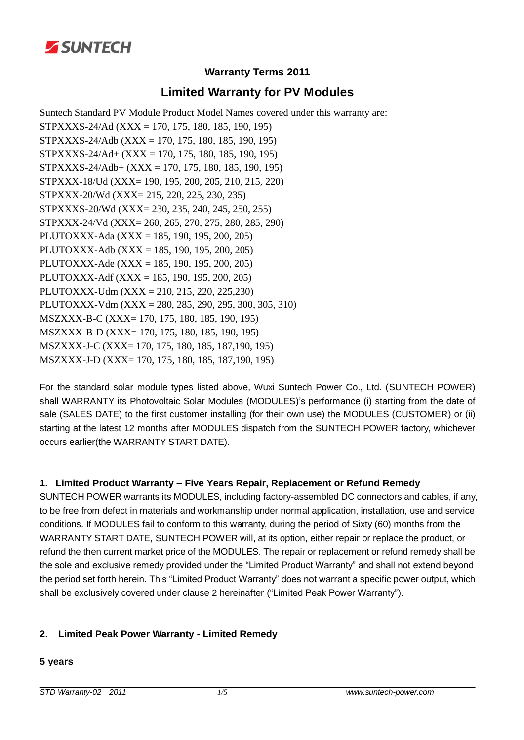

# **Warranty Terms 2011**

# **Limited Warranty for PV Modules**

Suntech Standard PV Module Product Model Names covered under this warranty are: STPXXXS-24/Ad (XXX = 170, 175, 180, 185, 190, 195) STPXXXS-24/Adb (XXX = 170, 175, 180, 185, 190, 195) STPXXXS-24/Ad+ (XXX = 170, 175, 180, 185, 190, 195) STPXXXS-24/Adb+ (XXX = 170, 175, 180, 185, 190, 195) STPXXX-18/Ud (XXX= 190, 195, 200, 205, 210, 215, 220) STPXXX-20/Wd (XXX= 215, 220, 225, 230, 235) STPXXXS-20/Wd (XXX= 230, 235, 240, 245, 250, 255) STPXXX-24/Vd (XXX= 260, 265, 270, 275, 280, 285, 290) PLUTOXXX-Ada (XXX = 185, 190, 195, 200, 205) PLUTOXXX-Adb (XXX = 185, 190, 195, 200, 205) PLUTOXXX-Ade (XXX = 185, 190, 195, 200, 205) PLUTOXXX-Adf (XXX = 185, 190, 195, 200, 205) PLUTOXXX-Udm (XXX = 210, 215, 220, 225,230) PLUTOXXX-Vdm (XXX = 280, 285, 290, 295, 300, 305, 310) MSZXXX-B-C (XXX= 170, 175, 180, 185, 190, 195) MSZXXX-B-D (XXX= 170, 175, 180, 185, 190, 195) MSZXXX-J-C (XXX= 170, 175, 180, 185, 187,190, 195) MSZXXX-J-D (XXX= 170, 175, 180, 185, 187,190, 195)

For the standard solar module types listed above, Wuxi Suntech Power Co., Ltd. (SUNTECH POWER) shall WARRANTY its Photovoltaic Solar Modules (MODULES)'s performance (i) starting from the date of sale (SALES DATE) to the first customer installing (for their own use) the MODULES (CUSTOMER) or (ii) starting at the latest 12 months after MODULES dispatch from the SUNTECH POWER factory, whichever occurs earlier(the WARRANTY START DATE).

## **1. Limited Product Warranty – Five Years Repair, Replacement or Refund Remedy**

SUNTECH POWER warrants its MODULES, including factory-assembled DC connectors and cables, if any, to be free from defect in materials and workmanship under normal application, installation, use and service conditions. If MODULES fail to conform to this warranty, during the period of Sixty (60) months from the WARRANTY START DATE, SUNTECH POWER will, at its option, either repair or replace the product, or refund the then current market price of the MODULES. The repair or replacement or refund remedy shall be the sole and exclusive remedy provided under the "Limited Product Warranty" and shall not extend beyond the period set forth herein. This "Limited Product Warranty" does not warrant a specific power output, which shall be exclusively covered under clause 2 hereinafter ("Limited Peak Power Warranty").

## **2. Limited Peak Power Warranty - Limited Remedy**

#### **5 years**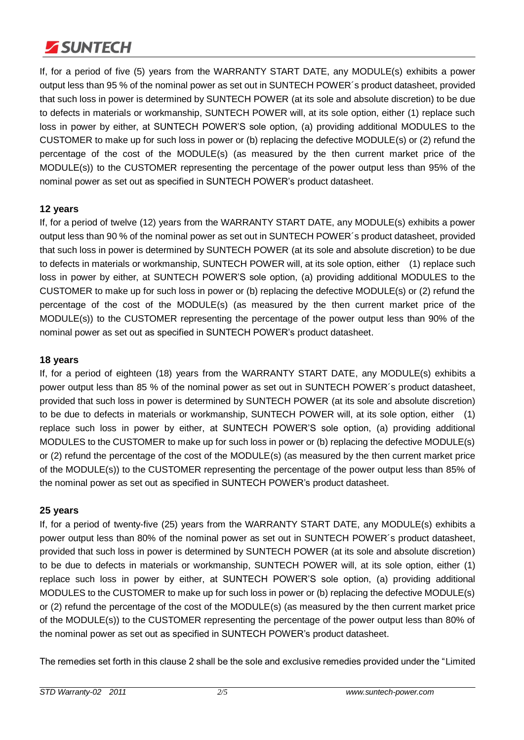

If, for a period of five (5) years from the WARRANTY START DATE, any MODULE(s) exhibits a power output less than 95 % of the nominal power as set out in SUNTECH POWER´s product datasheet, provided that such loss in power is determined by SUNTECH POWER (at its sole and absolute discretion) to be due to defects in materials or workmanship, SUNTECH POWER will, at its sole option, either (1) replace such loss in power by either, at SUNTECH POWER'S sole option, (a) providing additional MODULES to the CUSTOMER to make up for such loss in power or (b) replacing the defective MODULE(s) or (2) refund the percentage of the cost of the MODULE(s) (as measured by the then current market price of the MODULE(s)) to the CUSTOMER representing the percentage of the power output less than 95% of the nominal power as set out as specified in SUNTECH POWER's product datasheet.

## **12 years**

If, for a period of twelve (12) years from the WARRANTY START DATE, any MODULE(s) exhibits a power output less than 90 % of the nominal power as set out in SUNTECH POWER´s product datasheet, provided that such loss in power is determined by SUNTECH POWER (at its sole and absolute discretion) to be due to defects in materials or workmanship, SUNTECH POWER will, at its sole option, either (1) replace such loss in power by either, at SUNTECH POWER'S sole option, (a) providing additional MODULES to the CUSTOMER to make up for such loss in power or (b) replacing the defective MODULE(s) or (2) refund the percentage of the cost of the MODULE(s) (as measured by the then current market price of the MODULE(s)) to the CUSTOMER representing the percentage of the power output less than 90% of the nominal power as set out as specified in SUNTECH POWER's product datasheet.

## **18 years**

If, for a period of eighteen (18) years from the WARRANTY START DATE, any MODULE(s) exhibits a power output less than 85 % of the nominal power as set out in SUNTECH POWER´s product datasheet, provided that such loss in power is determined by SUNTECH POWER (at its sole and absolute discretion) to be due to defects in materials or workmanship, SUNTECH POWER will, at its sole option, either (1) replace such loss in power by either, at SUNTECH POWER'S sole option, (a) providing additional MODULES to the CUSTOMER to make up for such loss in power or (b) replacing the defective MODULE(s) or (2) refund the percentage of the cost of the MODULE(s) (as measured by the then current market price of the MODULE(s)) to the CUSTOMER representing the percentage of the power output less than 85% of the nominal power as set out as specified in SUNTECH POWER's product datasheet.

## **25 years**

If, for a period of twenty-five (25) years from the WARRANTY START DATE, any MODULE(s) exhibits a power output less than 80% of the nominal power as set out in SUNTECH POWER´s product datasheet, provided that such loss in power is determined by SUNTECH POWER (at its sole and absolute discretion) to be due to defects in materials or workmanship, SUNTECH POWER will, at its sole option, either (1) replace such loss in power by either, at SUNTECH POWER'S sole option, (a) providing additional MODULES to the CUSTOMER to make up for such loss in power or (b) replacing the defective MODULE(s) or (2) refund the percentage of the cost of the MODULE(s) (as measured by the then current market price of the MODULE(s)) to the CUSTOMER representing the percentage of the power output less than 80% of the nominal power as set out as specified in SUNTECH POWER's product datasheet.

The remedies set forth in this clause 2 shall be the sole and exclusive remedies provided under the "Limited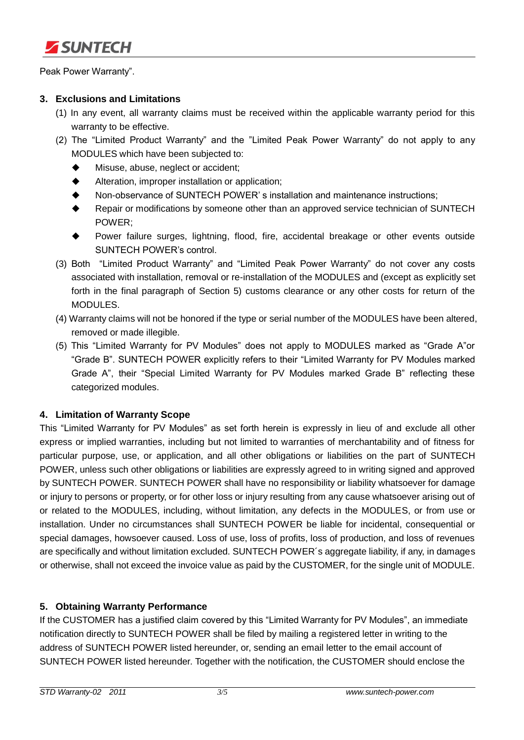

Peak Power Warranty".

## **3. Exclusions and Limitations**

- (1) In any event, all warranty claims must be received within the applicable warranty period for this warranty to be effective.
- (2) The "Limited Product Warranty" and the "Limited Peak Power Warranty" do not apply to any MODULES which have been subjected to:
	- $\blacklozenge$  Misuse, abuse, neglect or accident;
	- Alteration, improper installation or application;
	- Non-observance of SUNTECH POWER' s installation and maintenance instructions;
	- Repair or modifications by someone other than an approved service technician of SUNTECH POWER;
	- Power failure surges, lightning, flood, fire, accidental breakage or other events outside SUNTECH POWER's control.
- (3) Both "Limited Product Warranty" and "Limited Peak Power Warranty" do not cover any costs associated with installation, removal or re-installation of the MODULES and (except as explicitly set forth in the final paragraph of Section 5) customs clearance or any other costs for return of the MODULES.
- (4) Warranty claims will not be honored if the type or serial number of the MODULES have been altered, removed or made illegible.
- (5) This "Limited Warranty for PV Modules" does not apply to MODULES marked as "Grade A"or "Grade B". SUNTECH POWER explicitly refers to their "Limited Warranty for PV Modules marked Grade A", their "Special Limited Warranty for PV Modules marked Grade B" reflecting these categorized modules.

## **4. Limitation of Warranty Scope**

This "Limited Warranty for PV Modules" as set forth herein is expressly in lieu of and exclude all other express or implied warranties, including but not limited to warranties of merchantability and of fitness for particular purpose, use, or application, and all other obligations or liabilities on the part of SUNTECH POWER, unless such other obligations or liabilities are expressly agreed to in writing signed and approved by SUNTECH POWER. SUNTECH POWER shall have no responsibility or liability whatsoever for damage or injury to persons or property, or for other loss or injury resulting from any cause whatsoever arising out of or related to the MODULES, including, without limitation, any defects in the MODULES, or from use or installation. Under no circumstances shall SUNTECH POWER be liable for incidental, consequential or special damages, howsoever caused. Loss of use, loss of profits, loss of production, and loss of revenues are specifically and without limitation excluded. SUNTECH POWER´s aggregate liability, if any, in damages or otherwise, shall not exceed the invoice value as paid by the CUSTOMER, for the single unit of MODULE.

## **5. Obtaining Warranty Performance**

If the CUSTOMER has a justified claim covered by this "Limited Warranty for PV Modules", an immediate notification directly to SUNTECH POWER shall be filed by mailing a registered letter in writing to the address of SUNTECH POWER listed hereunder, or, sending an email letter to the email account of SUNTECH POWER listed hereunder. Together with the notification, the CUSTOMER should enclose the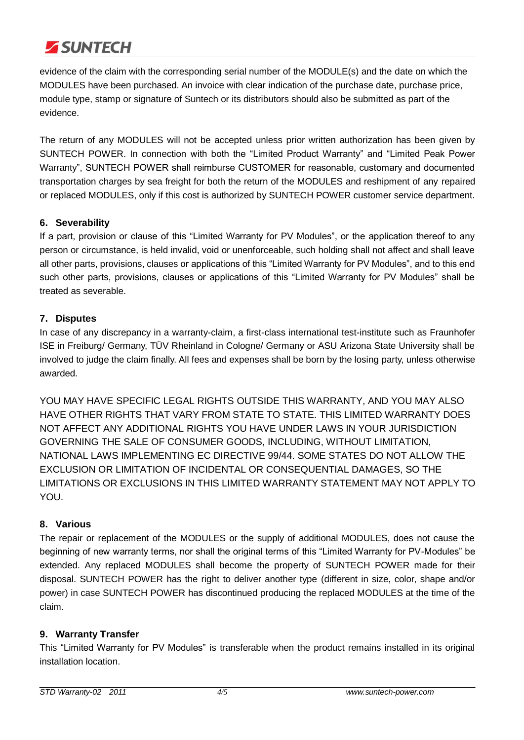

evidence of the claim with the corresponding serial number of the MODULE(s) and the date on which the MODULES have been purchased. An invoice with clear indication of the purchase date, purchase price, module type, stamp or signature of Suntech or its distributors should also be submitted as part of the evidence.

The return of any MODULES will not be accepted unless prior written authorization has been given by SUNTECH POWER. In connection with both the "Limited Product Warranty" and "Limited Peak Power Warranty", SUNTECH POWER shall reimburse CUSTOMER for reasonable, customary and documented transportation charges by sea freight for both the return of the MODULES and reshipment of any repaired or replaced MODULES, only if this cost is authorized by SUNTECH POWER customer service department.

## **6. Severability**

If a part, provision or clause of this "Limited Warranty for PV Modules", or the application thereof to any person or circumstance, is held invalid, void or unenforceable, such holding shall not affect and shall leave all other parts, provisions, clauses or applications of this "Limited Warranty for PV Modules", and to this end such other parts, provisions, clauses or applications of this "Limited Warranty for PV Modules" shall be treated as severable.

## **7. Disputes**

In case of any discrepancy in a warranty-claim, a first-class international test-institute such as Fraunhofer ISE in Freiburg/ Germany, TÜV Rheinland in Cologne/ Germany or ASU Arizona State University shall be involved to judge the claim finally. All fees and expenses shall be born by the losing party, unless otherwise awarded.

YOU MAY HAVE SPECIFIC LEGAL RIGHTS OUTSIDE THIS WARRANTY, AND YOU MAY ALSO HAVE OTHER RIGHTS THAT VARY FROM STATE TO STATE. THIS LIMITED WARRANTY DOES NOT AFFECT ANY ADDITIONAL RIGHTS YOU HAVE UNDER LAWS IN YOUR JURISDICTION GOVERNING THE SALE OF CONSUMER GOODS, INCLUDING, WITHOUT LIMITATION, NATIONAL LAWS IMPLEMENTING EC DIRECTIVE 99/44. SOME STATES DO NOT ALLOW THE EXCLUSION OR LIMITATION OF INCIDENTAL OR CONSEQUENTIAL DAMAGES, SO THE LIMITATIONS OR EXCLUSIONS IN THIS LIMITED WARRANTY STATEMENT MAY NOT APPLY TO YOU.

## **8. Various**

The repair or replacement of the MODULES or the supply of additional MODULES, does not cause the beginning of new warranty terms, nor shall the original terms of this "Limited Warranty for PV-Modules" be extended. Any replaced MODULES shall become the property of SUNTECH POWER made for their disposal. SUNTECH POWER has the right to deliver another type (different in size, color, shape and/or power) in case SUNTECH POWER has discontinued producing the replaced MODULES at the time of the claim.

## **9. Warranty Transfer**

This "Limited Warranty for PV Modules" is transferable when the product remains installed in its original installation location.